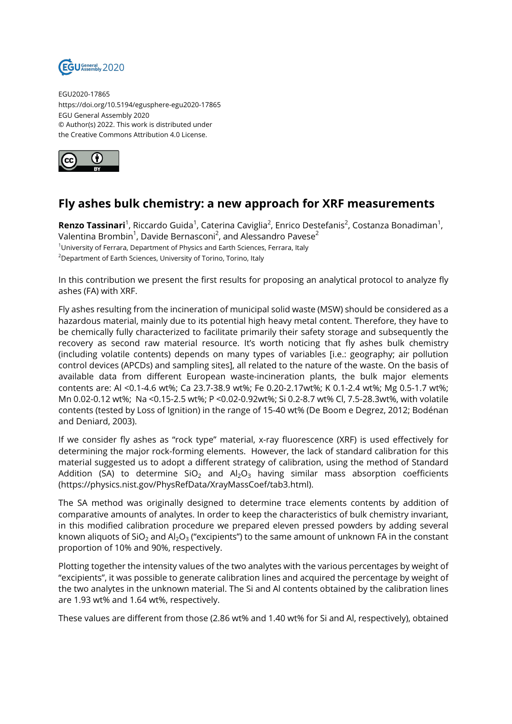

EGU2020-17865 https://doi.org/10.5194/egusphere-egu2020-17865 EGU General Assembly 2020 © Author(s) 2022. This work is distributed under the Creative Commons Attribution 4.0 License.



## **Fly ashes bulk chemistry: a new approach for XRF measurements**

**Renzo Tassinari**<sup>1</sup>, Riccardo Guida<sup>1</sup>, Caterina Caviglia<sup>2</sup>, Enrico Destefanis<sup>2</sup>, Costanza Bonadiman<sup>1</sup>, Valentina Brombin $^1$ , Davide Bernasconi $^2$ , and Alessandro Pavese $^2$ <sup>1</sup>University of Ferrara, Department of Physics and Earth Sciences, Ferrara, Italy <sup>2</sup>Department of Earth Sciences, University of Torino, Torino, Italy

In this contribution we present the first results for proposing an analytical protocol to analyze fly ashes (FA) with XRF.

Fly ashes resulting from the incineration of municipal solid waste (MSW) should be considered as a hazardous material, mainly due to its potential high heavy metal content. Therefore, they have to be chemically fully characterized to facilitate primarily their safety storage and subsequently the recovery as second raw material resource. It's worth noticing that fly ashes bulk chemistry (including volatile contents) depends on many types of variables [i.e.: geography; air pollution control devices (APCDs) and sampling sites], all related to the nature of the waste. On the basis of available data from different European waste-incineration plants, the bulk major elements contents are: Al <0.1-4.6 wt%; Ca 23.7-38.9 wt%; Fe 0.20-2.17wt%; K 0.1-2.4 wt%; Mg 0.5-1.7 wt%; Mn 0.02-0.12 wt%; Na <0.15-2.5 wt%; P <0.02-0.92wt%; Si 0.2-8.7 wt% Cl, 7.5-28.3wt%, with volatile contents (tested by Loss of Ignition) in the range of 15-40 wt% (De Boom e Degrez, 2012; Bodénan and Deniard, 2003).

If we consider fly ashes as "rock type" material, x-ray fluorescence (XRF) is used effectively for determining the major rock-forming elements. However, the lack of standard calibration for this material suggested us to adopt a different strategy of calibration, using the method of Standard Addition (SA) to determine  $SiO<sub>2</sub>$  and  $Al<sub>2</sub>O<sub>3</sub>$  having similar mass absorption coefficients (https://physics.nist.gov/PhysRefData/XrayMassCoef/tab3.html).

The SA method was originally designed to determine trace elements contents by addition of comparative amounts of analytes. In order to keep the characteristics of bulk chemistry invariant, in this modified calibration procedure we prepared eleven pressed powders by adding several known aliquots of SiO $_2$  and Al $_2$ O $_3$  ("excipients") to the same amount of unknown FA in the constant proportion of 10% and 90%, respectively.

Plotting together the intensity values of the two analytes with the various percentages by weight of "excipients", it was possible to generate calibration lines and acquired the percentage by weight of the two analytes in the unknown material. The Si and Al contents obtained by the calibration lines are 1.93 wt% and 1.64 wt%, respectively.

These values are different from those (2.86 wt% and 1.40 wt% for Si and Al, respectively), obtained